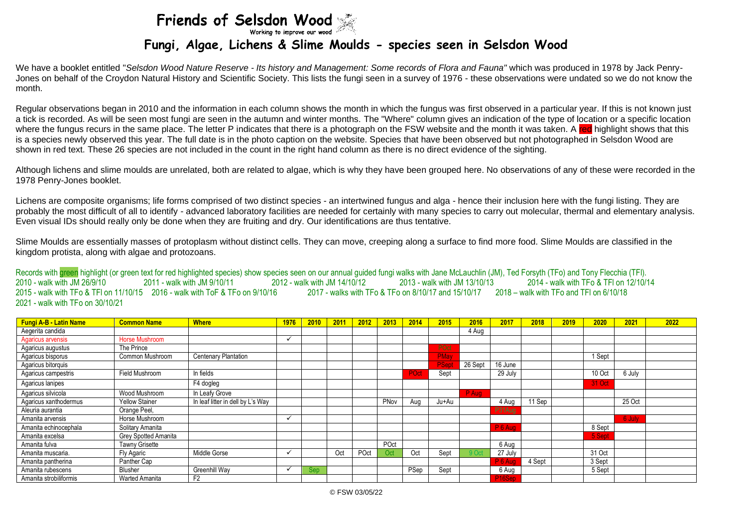## Friends of Selsdon Wood

## **Fungi, Algae, Lichens & Slime Moulds - species seen in Selsdon Wood**

We have a booklet entitled "*Selsdon Wood Nature Reserve - Its history and Management: Some records of Flora and Fauna"* which was produced in 1978 by Jack Penry-Jones on behalf of the Croydon Natural History and Scientific Society. This lists the fungi seen in a survey of 1976 - these observations were undated so we do not know the month.

Regular observations began in 2010 and the information in each column shows the month in which the fungus was first observed in a particular year. If this is not known just a tick is recorded. As will be seen most fungi are seen in the autumn and winter months. The "Where" column gives an indication of the type of location or a specific location where the fungus recurs in the same place. The letter P indicates that there is a photograph on the FSW website and the month it was taken. A red highlight shows that this is a species newly observed this year. The full date is in the photo caption on the website. Species that have been observed but not photographed in Selsdon Wood are shown in red text. These 26 species are not included in the count in the right hand column as there is no direct evidence of the sighting.

Although lichens and slime moulds are unrelated, both are related to algae, which is why they have been grouped here. No observations of any of these were recorded in the 1978 Penry-Jones booklet.

Lichens are composite organisms; life forms comprised of two distinct species - an intertwined fungus and alga - hence their inclusion here with the fungi listing. They are probably the most difficult of all to identify - advanced laboratory facilities are needed for certainly with many species to carry out molecular, thermal and elementary analysis. Even visual IDs should really only be done when they are fruiting and dry. Our identifications are thus tentative.

Slime Moulds are essentially masses of protoplasm without distinct cells. They can move, creeping along a surface to find more food. Slime Moulds are classified in the kingdom protista, along with algae and protozoans.

Records with green highlight (or green text for red highlighted species) show species seen on our annual guided fungi walks with Jane McLauchlin (JM). Ted Forsyth (TFo) and Tony Flecchia (TFI). 2010 - walk with JM 26/9/10 2011 - walk with JM 9/10/11 2012 - walk with JM 14/10/12 2013 - walk with JM 13/10/13 2014 - walk with TFo & TFl on 12/10/14 2015 - walk with TFo & TFl on 11/10/15 2016 - walk with ToF & TFo on 9/10/16 2017 - walks with TFo & TFo on 8/10/17 and 15/10/17 2018 – walk with TFo and TFl on 6/10/18 2021 - walk with TFo on 30/10/21

| <b>Fungi A-B - Latin Name</b> | <b>Common Name</b>          | <b>Where</b>                      | 1976 | 2010 | 2011 | 2012 | 2013 | 2014 | 2015  | 2016    | 2017                | 2018   | 2019 | 2020   | 2021   | 2022 |
|-------------------------------|-----------------------------|-----------------------------------|------|------|------|------|------|------|-------|---------|---------------------|--------|------|--------|--------|------|
| Aegerita candida              |                             |                                   |      |      |      |      |      |      |       | 4 Aug   |                     |        |      |        |        |      |
| Agaricus arvensis             | Horse Mushroom              |                                   |      |      |      |      |      |      |       |         |                     |        |      |        |        |      |
| Agaricus augustus             | The Prince                  |                                   |      |      |      |      |      |      | POct  |         |                     |        |      |        |        |      |
| Agaricus bisporus             | Common Mushroom             | <b>Centenary Plantation</b>       |      |      |      |      |      |      | PMay  |         |                     |        |      | 1 Sept |        |      |
| Agaricus bitorquis            |                             |                                   |      |      |      |      |      |      | PSept | 26 Sept | 16 June             |        |      |        |        |      |
| Agaricus campestris           | Field Mushroom              | In fields                         |      |      |      |      |      | POct | Sept  |         | 29 July             |        |      | 10 Oct | 6 July |      |
| Agaricus lanipes              |                             | F4 dogleg                         |      |      |      |      |      |      |       |         |                     |        |      | 31 Oct |        |      |
| Agaricus silvicola            | Wood Mushroom               | In Leafy Grove                    |      |      |      |      |      |      |       | P Aug   |                     |        |      |        |        |      |
| Agaricus xanthodermus         | <b>Yellow Stainer</b>       | In leaf litter in dell by L's Way |      |      |      |      | PNov | Aua  | Ju+Au |         | 4 Aug               | 11 Sep |      |        | 25 Oct |      |
| Aleuria aurantia              | Orange Peel,                |                                   |      |      |      |      |      |      |       |         | P31Aug              |        |      |        |        |      |
| Amanita arvensis              | Horse Mushroom              |                                   |      |      |      |      |      |      |       |         |                     |        |      |        | 6 July |      |
| Amanita echinocephala         | Solitary Amanita            |                                   |      |      |      |      |      |      |       |         | $P_6$ Aug           |        |      | 8 Sept |        |      |
| Amanita excelsa               | <b>Grey Spotted Amanita</b> |                                   |      |      |      |      |      |      |       |         |                     |        |      | 5 Sept |        |      |
| Amanita fulva                 | <b>Tawny Grisette</b>       |                                   |      |      |      |      | POct |      |       |         | 6 Aug               |        |      |        |        |      |
| Amanita muscaria.             | Fly Agaric                  | Middle Gorse                      |      |      | Oct  | POct | Oct  | Oct  | Sept  |         | 27 July             |        |      | 31 Oct |        |      |
| Amanita pantherina            | Panther Cap                 |                                   |      |      |      |      |      |      |       |         | P <sub>6</sub> Aug  | 4 Sept |      | 3 Sept |        |      |
| Amanita rubescens             | <b>Blusher</b>              | Greenhill Way                     |      | Sep  |      |      |      | PSep | Sept  |         | 6 Aug               |        |      | 5 Sept |        |      |
| Amanita strobiliformis        | <b>Warted Amanita</b>       | F <sub>2</sub>                    |      |      |      |      |      |      |       |         | P <sub>16</sub> Sep |        |      |        |        |      |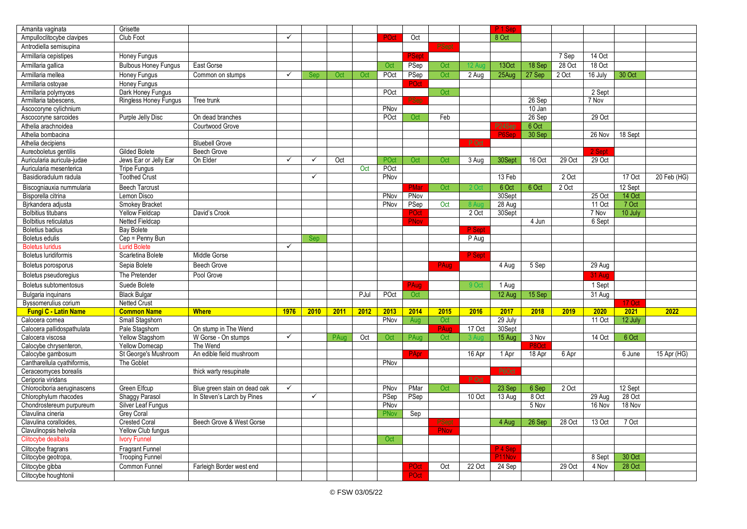| Amanita vaginata             | Grisette                     |                              |              |              |      |      |      |       |             |        | P <sub>1</sub> Sep  |        |         |               |         |             |
|------------------------------|------------------------------|------------------------------|--------------|--------------|------|------|------|-------|-------------|--------|---------------------|--------|---------|---------------|---------|-------------|
| Ampulloclitocybe clavipes    | Club Foot                    |                              | $\checkmark$ |              |      |      | POct | Oct   |             |        | 8 Oct               |        |         |               |         |             |
| Antrodiella semisupina       |                              |                              |              |              |      |      |      |       | PSept       |        |                     |        |         |               |         |             |
| Armillaria cepistipes        | Honey Fungus                 |                              |              |              |      |      |      | PSept |             |        |                     |        | 7 Sep   | 14 Oct        |         |             |
| Armillaria gallica           | <b>Bulbous Honey Fungus</b>  | East Gorse                   |              |              |      |      | Oct  | PSep  | Oct         | 12 A   | 13Oct               | 18 Sep | 28 Oct  | 18 Oct        |         |             |
| Armillaria mellea            | Honey Fungus                 | Common on stumps             | $\checkmark$ | Sep          | Oct  | Oct  | POct | PSep  | Oct         | 2 Aug  | 25Aug               | 27 Sep | 2 Oct   | 16 July       | 30 Oct  |             |
| Armillaria ostoyae           | Honey Fungus                 |                              |              |              |      |      |      | POct  |             |        |                     |        |         |               |         |             |
| Armillaria polymyces         | Dark Honey Fungus            |                              |              |              |      |      | POct |       | Oct         |        |                     |        |         | 2 Sept        |         |             |
| Armillaria tabescens,        | <b>Ringless Honey Fungus</b> | Tree trunk                   |              |              |      |      |      | 'Sep  |             |        |                     | 26 Sep |         | 7 Nov         |         |             |
| Ascocoryne cylichnium        |                              |                              |              |              |      |      | PNov |       |             |        |                     | 10 Jan |         |               |         |             |
| Ascocoryne sarcoides         | Purple Jelly Disc            | On dead branches             |              |              |      |      | POct | Oct   | Feb         |        |                     | 26 Sep |         | 29 Oct        |         |             |
| Athelia arachnoidea          |                              | Courtwood Grove              |              |              |      |      |      |       |             |        | P <sub>24</sub> Sep | 6 Oct  |         |               |         |             |
| Athelia bombacina            |                              |                              |              |              |      |      |      |       |             |        | P6Sep               | 30 Sep |         | 26 Nov        | 18 Sept |             |
| Athelia decipiens            |                              | <b>Bluebell Grove</b>        |              |              |      |      |      |       |             | P Oct  |                     |        |         |               |         |             |
| Aureoboletus gentilis        | <b>Gilded Bolete</b>         | Beech Grove                  |              |              |      |      |      |       |             |        |                     |        |         | 2 Sept        |         |             |
| Auricularia auricula-judae   | Jews Ear or Jelly Ear        | On Elder                     | $\checkmark$ | ✓            | Oct  |      | POct | Oct   | Oct         | 3 Aug  | 30Sept              | 16 Oct | 29 Oct  | 29 Oct        |         |             |
| Auricularia mesenterica      | <b>Tripe Fungus</b>          |                              |              |              |      | Oct  | POct |       |             |        |                     |        |         |               |         |             |
| Basidioradulum radula        | <b>Toothed Crust</b>         |                              |              | $\checkmark$ |      |      | PNov |       |             |        | 13 Feb              |        | 2 Oct   |               | 17 Oct  | 20 Feb (HG) |
| Biscogniauxia nummularia     | <b>Beech Tarcrust</b>        |                              |              |              |      |      |      | PMar  | Oct         | 2O     | 6 Oct               | 6 Oct  | $2$ Oct |               | 12 Sept |             |
| Bisporella citrina           | Lemon Disco                  |                              |              |              |      |      | PNov | PNov  |             |        | 30Sept              |        |         | 25 Oct        | 14 Oct  |             |
| Birkandera adjusta           | Smokey Bracket               |                              |              |              |      |      | PNov | PSep  | Oct         | 8 Au   | 28 Aug              |        |         | 11 Oct        | 7 Oct   |             |
| <b>Bolbitius titubans</b>    | <b>Yellow Fieldcap</b>       | David's Crook                |              |              |      |      |      | POct  |             | 2 Oct  | 30Sept              |        |         | 7 Nov         | 10 July |             |
| <b>Bolbitius reticulatus</b> | <b>Netted Fieldcap</b>       |                              |              |              |      |      |      | PNov  |             |        |                     | 4 Jun  |         | 6 Sept        |         |             |
| <b>Boletius badius</b>       | <b>Bay Bolete</b>            |                              |              |              |      |      |      |       |             | P Sept |                     |        |         |               |         |             |
| Boletus edulis               | Cep = Penny Bun              |                              |              | Sep          |      |      |      |       |             | P Aug  |                     |        |         |               |         |             |
| <b>Boletus luridus</b>       | <b>Lurid Bolete</b>          |                              | $\checkmark$ |              |      |      |      |       |             |        |                     |        |         |               |         |             |
| <b>Boletus luridiformis</b>  | Scarletina Bolete            | Middle Gorse                 |              |              |      |      |      |       |             | P Sept |                     |        |         |               |         |             |
| Boletus porosporus           | Sepia Bolete                 | <b>Beech Grove</b>           |              |              |      |      |      |       | PAug        |        | 4 Aug               | 5 Sep  |         | 29 Aug        |         |             |
| Boletus pseudoregius         | The Pretender                | Pool Grove                   |              |              |      |      |      |       |             |        |                     |        |         |               |         |             |
|                              |                              |                              |              |              |      |      |      |       |             |        |                     |        |         | <b>31 Aug</b> |         |             |
| Boletus subtomentosus        | Suede Bolete                 |                              |              |              |      |      |      | PAug  |             | 9 Oc   | 1 Aug               |        |         | 1 Sept        |         |             |
| Bulgaria inquinans           | <b>Black Bulgar</b>          |                              |              |              |      | PJul | POct | Oct   |             |        | 12 Aug              | 15 Sep |         | 31 Aug        |         |             |
| Byssomerulius corium         | <b>Netted Crust</b>          |                              |              |              |      |      |      |       |             |        |                     |        |         |               | 17 Oct  |             |
| <b>Fungi C - Latin Name</b>  | <b>Common Name</b>           | <b>Where</b>                 | 1976         | 2010         | 2011 | 2012 | 2013 | 2014  | 2015        | 2016   | 2017                | 2018   | 2019    | 2020          | 2021    | 2022        |
| Calocera cornea              | Small Stagshorn              |                              |              |              |      |      | PNov | Aug   | Oct         |        | 29 July             |        |         | 11 Oct        | 12 July |             |
| Calocera pallidospathulata   | Pale Stagshom                | On stump in The Wend         |              |              |      |      |      |       | PAug        | 17 Oct | 30Sept              |        |         |               |         |             |
| Calocera viscosa             | Yellow Stagshorn             | W Gorse - On stumps          | $\checkmark$ |              | PAug | Oct  | Oct  | PAug  | Oct         |        | 15 Aug              | 3 Nov  |         | 14 Oct        | 6 Oct   |             |
| Calocybe chrysenteron,       | <b>Yellow Domecap</b>        | The Wend                     |              |              |      |      |      |       |             |        |                     | P8Oc   |         |               |         |             |
| Calocybe gambosum            | St George's Mushroom         | An edible field mushroom     |              |              |      |      |      | PApr  |             | 16 Apr | 1 Apr               | 18 Apr | 6 Apr   |               | 6 June  | 15 Apr (HG) |
| Cantharellula cyathiformis,  | The Goblet                   |                              |              |              |      |      | PNov |       |             |        |                     |        |         |               |         |             |
| Ceraceomyces borealis        |                              | thick warty resupinate       |              |              |      |      |      |       |             | P Oct  | P6Oct               |        |         |               |         |             |
| Ceriporia viridans           |                              |                              | $\checkmark$ |              |      |      |      |       |             |        |                     |        |         |               |         |             |
| Chlorociboria aeruginascens  | Green Elfcup                 | Blue green stain on dead oak |              | $\checkmark$ |      |      | PNov | PMar  | Oct         |        | 23 Sep              | 6 Sep  | 2 Oct   |               | 12 Sept |             |
| Chlorophylum rhacodes        | Shaggy Parasol               | In Steven's Larch by Pines   |              |              |      |      | PSep | PSep  |             | 10 Oct | 13 Aug              | 8 Oct  |         | 29 Aug        | 28 Oct  |             |
| Chondrostereum purpureum     | Silver Leaf Fungus           |                              |              |              |      |      | PNov |       |             |        |                     | 5 Nov  |         | 16 Nov        | 18 Nov  |             |
| Clavulina cineria            | Grey Coral                   | Beech Grove & West Gorse     |              |              |      |      | PNov | Sep   |             |        | 4 Aug               | 26 Sep | 28 Oct  | 13 Oct        | 7 Oct   |             |
| Clavulina coralloides,       | <b>Crested Coral</b>         |                              |              |              |      |      |      |       | PSept       |        |                     |        |         |               |         |             |
| Clavulinopsis helvola        | Yellow Club fungus           |                              |              |              |      |      | Oct  |       | <b>PNov</b> |        |                     |        |         |               |         |             |
| Clitocybe dealbata           | <b>Ivory Funnel</b>          |                              |              |              |      |      |      |       |             |        |                     |        |         |               |         |             |
| Clitocybe fragrans           | <b>Fragrant Funnel</b>       |                              |              |              |      |      |      |       |             |        | P <sub>4</sub> Sep  |        |         |               |         |             |
| Clitocybe geotropa,          | <b>Trooping Funnel</b>       |                              |              |              |      |      |      |       |             |        | P11Nov              |        |         | 8 Sept        | 30 Oct  |             |
| Clitocybe gibba              | Common Funnel                | Farleigh Border west end     |              |              |      |      |      | POct  | Oct         | 22 Oct | 24 Sep              |        | 29 Oct  | 4 Nov         | 28 Oct  |             |
| Clitocybe houghtonii         |                              |                              |              |              |      |      |      | POct  |             |        |                     |        |         |               |         |             |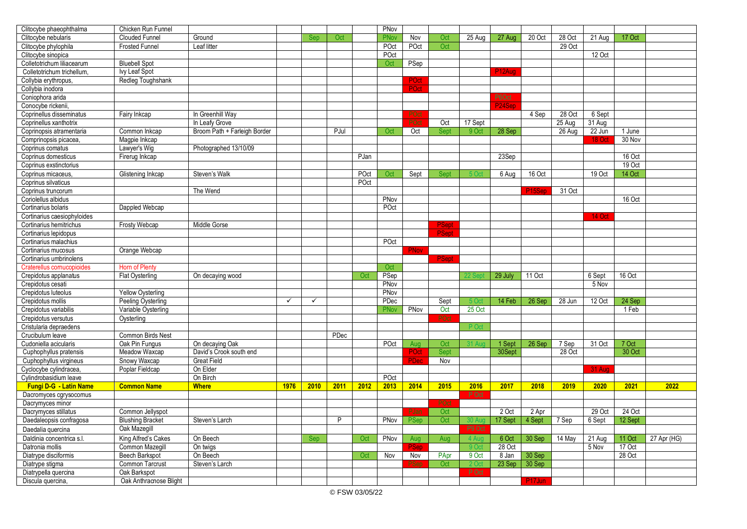| Clitocybe phaeophthalma                                 | Chicken Run Funnel                     |                              |              |              |      |      | PNov         |      |              |                        |                     |                     |        |                 |                  |             |
|---------------------------------------------------------|----------------------------------------|------------------------------|--------------|--------------|------|------|--------------|------|--------------|------------------------|---------------------|---------------------|--------|-----------------|------------------|-------------|
| Clitocybe nebularis                                     | <b>Clouded Funnel</b>                  | Ground                       |              | Sep          | Oct  |      | <b>PNov</b>  | Nov  | Oct          | 25 Aug                 | 27 Aug              | $20$ Oct            | 28 Oct | 21 Aug          | 17 Oct           |             |
| Clitocybe phylophila                                    | Frosted Funnel                         | Leaf litter                  |              |              |      |      | POct         | POct | Oct          |                        |                     |                     | 29 Oct |                 |                  |             |
| Clitocybe sinopica                                      |                                        |                              |              |              |      |      | POct         |      |              |                        |                     |                     |        | 12 Oct          |                  |             |
| Colletotrichum liliacearum                              | <b>Bluebell Spot</b>                   |                              |              |              |      |      | Oct          | PSep |              |                        |                     |                     |        |                 |                  |             |
| Colletotrichum trichellum,                              | Ivy Leaf Spot                          |                              |              |              |      |      |              |      |              |                        | P <sub>12</sub> Aug |                     |        |                 |                  |             |
| Collybia erythropus,                                    | Redleg Toughshank                      |                              |              |              |      |      |              | POct |              |                        |                     |                     |        |                 |                  |             |
| Collybia inodora                                        |                                        |                              |              |              |      |      |              | POct |              |                        |                     |                     |        |                 |                  |             |
| Coniophora arida                                        |                                        |                              |              |              |      |      |              |      |              |                        | P6Oct               |                     |        |                 |                  |             |
| Conocybe rickenii.                                      |                                        |                              |              |              |      |      |              |      |              |                        |                     |                     |        |                 |                  |             |
| Coprinellus disseminatus                                | Fairy Inkcap                           | In Greenhill Way             |              |              |      |      |              |      |              |                        |                     | 4 Sep               | 28 Oct | 6 Sept          |                  |             |
| Coprinellus xanthotrix                                  |                                        | In Leafy Grove               |              |              |      |      |              | POct | Oct          | 17 Sept                |                     |                     | 25 Aug | 31 Aug          |                  |             |
| Coprinopsis atramentaria                                | Common Inkcap                          | Broom Path + Farleigh Border |              |              | PJul |      | Oct          | Oct  | Sept         | 9O <sub>C</sub>        | 28 Sep              |                     | 26 Aug | 22 Jun          | 1 June           |             |
| Comprinopsis picacea.                                   | Magpie Inkcap                          |                              |              |              |      |      |              |      |              |                        |                     |                     |        | 18 Oct          | 30 Nov           |             |
| Coprinus comatus                                        | Lawyer's Wig                           | Photographed 13/10/09        |              |              |      |      |              |      |              |                        |                     |                     |        |                 |                  |             |
| Coprinus domesticus                                     | Firerug Inkcap                         |                              |              |              |      | PJan |              |      |              |                        | 23Sep               |                     |        |                 | 16 Oct           |             |
| Coprinus exstinctorius                                  |                                        |                              |              |              |      |      |              |      |              |                        |                     |                     |        |                 | 19 Oct           |             |
| Coprinus micaceus,                                      | Glistening Inkcap                      | Steven's Walk                |              |              |      | POct | Oct          | Sept | <b>Sept</b>  | 5 O                    | 6 Aug               | 16 Oct              |        | 19 Oct          | 14 Oct           |             |
| Coprinus silvaticus                                     |                                        |                              |              |              |      | POct |              |      |              |                        |                     |                     |        |                 |                  |             |
| Coprinus truncorum                                      |                                        | The Wend                     |              |              |      |      |              |      |              |                        |                     | P15Ser              | 31 Oct |                 |                  |             |
| Coriolellus albidus                                     |                                        |                              |              |              |      |      | PNov         |      |              |                        |                     |                     |        |                 | 16 Oct           |             |
| Cortinarius bolaris                                     | Dappled Webcap                         |                              |              |              |      |      | POct         |      |              |                        |                     |                     |        |                 |                  |             |
| Cortinarius caesiophyloides                             |                                        |                              |              |              |      |      |              |      |              |                        |                     |                     |        | 14 Oct          |                  |             |
| Cortinarius hemitrichus                                 | <b>Frosty Webcap</b>                   | Middle Gorse                 |              |              |      |      |              |      | <b>PSept</b> |                        |                     |                     |        |                 |                  |             |
| Cortinarius lepidopus                                   |                                        |                              |              |              |      |      |              |      | <b>PSept</b> |                        |                     |                     |        |                 |                  |             |
| Cortinarius malachius                                   |                                        |                              |              |              |      |      | POct         |      |              |                        |                     |                     |        |                 |                  |             |
| Cortinarius mucosus                                     | Orange Webcap                          |                              |              |              |      |      |              | PNov |              |                        |                     |                     |        |                 |                  |             |
| Cortinarius umbrinolens                                 |                                        |                              |              |              |      |      |              |      | <b>PSept</b> |                        |                     |                     |        |                 |                  |             |
| Craterellus cornucopioides                              | Horn of Plenty                         |                              |              |              |      |      | Oct          |      |              |                        |                     |                     |        |                 |                  |             |
| Crepidotus applanatus                                   | <b>Flat Oysterling</b>                 | On decaying wood             |              |              |      | Oct  | PSep         |      |              |                        | 29 July             | 11 Oct              |        | 6 Sept          | 16 Oct           |             |
| Crepidotus cesati                                       |                                        |                              |              |              |      |      | PNov         |      |              |                        |                     |                     |        | 5 Nov           |                  |             |
| Crepidotus luteolus                                     | <b>Yellow Oysterling</b>               |                              |              |              |      |      | PNov         |      |              |                        |                     |                     |        |                 |                  |             |
| Crepidotus mollis                                       | Peeling Oysterling                     |                              | $\checkmark$ | $\checkmark$ |      |      | PDec         |      | Sept         |                        | 14 Feb              | 26 Sep              | 28 Jun | 12 Oct          | 24 Sep           |             |
| Crepidotus variabilis                                   | Variable Oysterling                    |                              |              |              |      |      | PNov         | PNov | Oct          | 25 Oct                 |                     |                     |        |                 | 1 Feb            |             |
| Crepidotus versutus                                     | Oysterling                             |                              |              |              |      |      |              |      | POct         |                        |                     |                     |        |                 |                  |             |
| Cristularia depraedens                                  |                                        |                              |              |              |      |      |              |      |              | P Oc                   |                     |                     |        |                 |                  |             |
| Crucibulum leave                                        | Common Birds Nest                      |                              |              |              | PDec |      |              |      |              |                        |                     |                     |        |                 |                  |             |
| Cudoniella acicularis                                   | Oak Pin Fungus                         | On decaying Oak              |              |              |      |      | POct         | Aug  | Oct          | 31 Ai                  | 1 Sept              | 26 Sep              | 7 Sep  | 31 Oct          | 7 Oct            |             |
| Cuphophyllus pratensis                                  | Meadow Waxcap                          | David's Crook south end      |              |              |      |      |              | POct | Sept         |                        | 30Sept              |                     | 28 Oct |                 | 30 Oct           |             |
| Cuphophyllus virgineus                                  | Snowy Waxcap                           | <b>Great Field</b>           |              |              |      |      |              | PDec | Nov          |                        |                     |                     |        |                 |                  |             |
| Cyclocybe cylindracea.                                  | Poplar Fieldcap                        | On Elder                     |              |              |      |      |              |      |              |                        |                     |                     |        | 31 Aug          |                  |             |
| Cylindrobasidium leave<br><b>Fungi D-G - Latin Name</b> | <b>Common Name</b>                     | On Birch<br><b>Where</b>     | 1976         | 2010         | 2011 | 2012 | POct<br>2013 | 2014 | 2015         | 2016                   | 2017                | 2018                | 2019   | 2020            | 2021             | 2022        |
| Dacromyces cgrysocomus                                  |                                        |                              |              |              |      |      |              |      |              | P Oct                  |                     |                     |        |                 |                  |             |
| Dacrymyces minor                                        |                                        |                              |              |              |      |      |              |      | POct         |                        |                     |                     |        |                 |                  |             |
| Dacrymyces stillatus                                    | Common Jellyspot                       |                              |              |              |      |      |              | PJan | Oct          |                        | 2 Oct               | 2 Apr               |        | 29 Oct          | 24 Oct           |             |
| Daedaleopsis confragosa                                 | <b>Blushing Bracket</b>                | Steven's Larch               |              |              | P    |      | PNov         | PSep | Oct          | 30 A                   | 17 Sept             | 4 Sept              | 7 Sep  | 6 Sept          | 12 Sept          |             |
| Daedalia quercina                                       | Oak Mazegill                           |                              |              |              |      |      |              |      |              | P9 Oct                 |                     |                     |        |                 |                  |             |
| Daldinia concentrica s.l.                               |                                        | On Beech                     |              |              |      | Oct  | PNov         |      | Aug          |                        | 6 Oct               |                     | 14 May |                 |                  |             |
| Datronia mollis                                         | King Alfred's Cakes<br>Common Mazeqill | On twigs                     |              | Sep          |      |      |              | Aug  |              | 4 Au<br>9 <sub>O</sub> | 28 Oct              | 30 Sep              |        | 21 Aug<br>5 Nov | 11 Oct<br>17 Oct | 27 Apr (HG) |
| Diatrype disciformis                                    | <b>Beech Barkspot</b>                  | On Beech                     |              |              |      | Oct  | Nov          | Nov  | PApr         | 9 Oct                  | 8 Jan               | 30 Sep              |        |                 | 28 Oct           |             |
| Diatrype stigma                                         | Common Tarcrust                        | Steven's Larch               |              |              |      |      |              | 'Ser | Oct          | 2 O                    | 23 Sep              | 30 Sep              |        |                 |                  |             |
| Diatrypella quercina                                    | Oak Barkspot                           |                              |              |              |      |      |              |      |              | P Oct                  |                     |                     |        |                 |                  |             |
| Discula quercina,                                       | Oak Anthracnose Blight                 |                              |              |              |      |      |              |      |              |                        |                     | P <sub>17</sub> Jun |        |                 |                  |             |
|                                                         |                                        |                              |              |              |      |      |              |      |              |                        |                     |                     |        |                 |                  |             |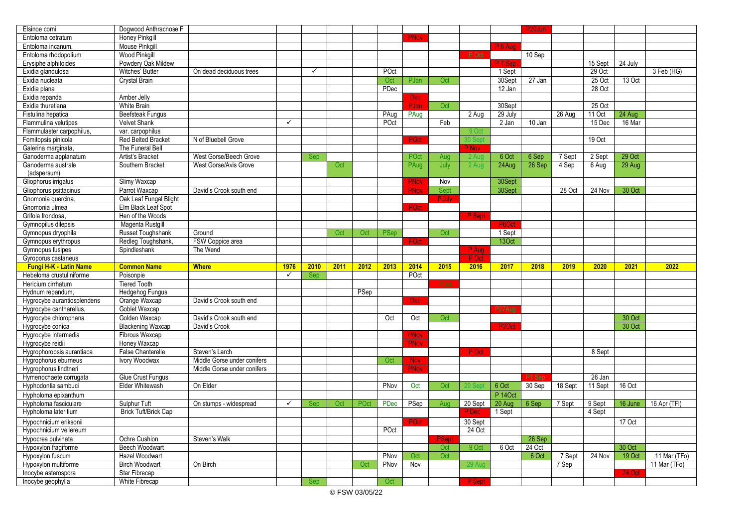| Elsinoe comi                                 | Dogwood Anthracnose F                   |                             |              |              |      |      |      |             |       |                |                    | P <sub>20</sub> Jun |         |         |               |                |
|----------------------------------------------|-----------------------------------------|-----------------------------|--------------|--------------|------|------|------|-------------|-------|----------------|--------------------|---------------------|---------|---------|---------------|----------------|
| Entoloma cetratum                            | <b>Honey Pinkgill</b>                   |                             |              |              |      |      |      | PNov        |       |                |                    |                     |         |         |               |                |
| Entoloma incanum.                            | <b>Mouse Pinkaill</b>                   |                             |              |              |      |      |      |             |       |                | P 6 Aug            |                     |         |         |               |                |
| Entoloma rhodopolium                         | <b>Wood Pinkgill</b>                    |                             |              |              |      |      |      |             |       | P Oct          |                    | 10 Sep              |         |         |               |                |
| Erysiphe alphitoides                         | Powdery Oak Mildew                      |                             |              |              |      |      |      |             |       |                | P 7 Sep            |                     |         | 15 Sept | 24 July       |                |
| Exidia glandulosa                            | Witches' Butter                         | On dead deciduous trees     |              | $\checkmark$ |      |      | POct |             |       |                | 1 Sept             |                     |         | 29 Oct  |               | 3 Feb (HG)     |
| Exidia nucleata                              | Crystal Brain                           |                             |              |              |      |      | Oct  | PJan        | Oct   |                | 30Sept             | 27 Jan              |         | 25 Oct  | 13 Oct        |                |
| Exidia plana                                 |                                         |                             |              |              |      |      | PDec |             |       |                | 12 Jan             |                     |         | 28 Oct  |               |                |
| Exidia repanda                               | Amber Jelly                             |                             |              |              |      |      |      | <b>Dec</b>  |       |                |                    |                     |         |         |               |                |
| Exidia thuretiana                            | White Brain                             |                             |              |              |      |      |      | PJan        | Oct   |                | 30Sept             |                     |         | 25 Oct  |               |                |
| Fistulina hepatica                           | <b>Beefsteak Fungus</b>                 |                             |              |              |      |      | PAug | PAug        |       | 2 Aug          | 29 July            |                     | 26 Aug  | 11 Oct  | 24 Aug        |                |
| Flammulina velutipes                         | <b>Velvet Shank</b>                     |                             | $\checkmark$ |              |      |      | POct |             | Feb   |                | 2 Jan              | $10$ Jan            |         | 15 Dec  | 16 Mar        |                |
| Flammulaster carpophilus,                    | var. carpophilus                        |                             |              |              |      |      |      |             |       | 9 <sub>0</sub> |                    |                     |         |         |               |                |
| Fomitopsis pinicola                          | <b>Red Belted Bracket</b>               | N of Bluebell Grove         |              |              |      |      |      | POct        |       | 0 Ser          |                    |                     |         | 19 Oct  |               |                |
| Galerina marginata,                          | The Funeral Bell                        |                             |              |              |      |      |      |             |       | P Nov          |                    |                     |         |         |               |                |
| Ganoderma applanatum                         | Artist's Bracket                        | West Gorse/Beech Grove      |              | Sep          |      |      |      | POct        | Aug   | 2 Aug          | 6 Oct              | 6 Sep               | 7 Sept  | 2 Sept  | 29 Oct        |                |
| Ganoderma australe                           | Southern Bracket                        | West Gorse/Avis Grove       |              |              | Oct  |      |      | PAug        | July  | 2 Aug          | 24Aug              | 26 Sep              | 4 Sep   | 6 Aug   | 29 Aug        |                |
| (adspersum)                                  |                                         |                             |              |              |      |      |      |             |       |                |                    |                     |         |         |               |                |
| Gliophorus irrigatus                         | Slimy Waxcap                            |                             |              |              |      |      |      | <b>PNov</b> | Nov   |                | 30Sept             |                     |         |         |               |                |
| Gliophorus psittacinus                       | Parrot Waxcap                           | David's Crook south end     |              |              |      |      |      | PNov        | Sept  |                | 30Sept             |                     | 28 Oct  | 24 Nov  | 30 Oct        |                |
| Gnomonia quercina,                           | Oak Leaf Fungal Blight                  |                             |              |              |      |      |      |             | PJuly |                |                    |                     |         |         |               |                |
| Gnomonia ulmea                               | Elm Black Leaf Spot                     |                             |              |              |      |      |      | <b>POct</b> |       |                |                    |                     |         |         |               |                |
| Grifola frondosa                             | Hen of the Woods                        |                             |              |              |      |      |      |             |       | P Sept         |                    |                     |         |         |               |                |
| Gymnopilus dilepsis                          | Magenta Rustgill                        |                             |              |              |      |      |      |             |       |                | P6Oct              |                     |         |         |               |                |
| Gymnopus dryophila                           | Russet Toughshank                       | Ground                      |              |              | Oct  | Oct  | PSep |             | Oct   |                | 1 Sept             |                     |         |         |               |                |
| Gymnopus erythropus                          | Redleg Toughshank,                      | FSW Coppice area            |              |              |      |      |      | POct        |       |                | 13Oct              |                     |         |         |               |                |
| Gymnopus fusipes                             | Spindleshank                            | The Wend                    |              |              |      |      |      |             |       | P Aug          |                    |                     |         |         |               |                |
|                                              |                                         |                             |              |              |      |      |      |             |       |                |                    |                     |         |         |               |                |
| Gyroporus castaneus                          |                                         |                             |              |              |      |      |      |             |       | P Oct          |                    |                     |         |         |               |                |
| <b>Fungi H-K - Latin Name</b>                | <b>Common Name</b>                      | <b>Where</b>                | 1976         | 2010         | 2011 | 2012 | 2013 | 2014        | 2015  | 2016           | 2017               | 2018                | 2019    | 2020    | 2021          | 2022           |
| Hebeloma crustuliniforme                     | Poisonpie                               |                             | $\checkmark$ | Sep          |      |      |      | POct        |       |                |                    |                     |         |         |               |                |
| Hericium cirrhatum                           | <b>Tiered Tooth</b>                     |                             |              |              |      |      |      |             |       |                |                    |                     |         |         |               |                |
| Hydnum repandum.                             |                                         |                             |              |              |      | PSep |      |             |       |                |                    |                     |         |         |               |                |
| Hygrocybe aurantiosplendens                  | <b>Hedgehog Fungus</b><br>Orange Waxcap | David's Crook south end     |              |              |      |      |      | <b>Dec</b>  |       |                |                    |                     |         |         |               |                |
| Hygrocybe cantharellus,                      | Goblet Waxcap                           |                             |              |              |      |      |      |             |       |                | P27Aua             |                     |         |         |               |                |
| Hygrocybe chlorophana                        | Golden Waxcap                           | David's Crook south end     |              |              |      |      | Oct  | Oct         | Oct   |                |                    |                     |         |         | 30 Oct        |                |
| Hygrocybe conica                             | <b>Blackening Waxcap</b>                | David's Crook               |              |              |      |      |      |             |       |                | P <sub>2</sub> Oct |                     |         |         | 30 Oct        |                |
| Hygrocybe intermedia                         | Fibrous Waxcap                          |                             |              |              |      |      |      | <b>PNov</b> |       |                |                    |                     |         |         |               |                |
| Hygrocybe reidii                             | Honey Waxcap                            |                             |              |              |      |      |      | <b>PNov</b> |       |                |                    |                     |         |         |               |                |
| Hygrophoropsis aurantiaca                    | <b>False Chanterelle</b>                | Steven's Larch              |              |              |      |      |      |             |       | P Oct          |                    |                     |         | 8 Sept  |               |                |
| Hygrophorus eburneus                         | Ivory Woodwax                           | Middle Gorse under conifers |              |              |      |      | Oct  | <b>Nov</b>  |       |                |                    |                     |         |         |               |                |
| Hygrophorus lindtneri                        |                                         | Middle Gorse under conifers |              |              |      |      |      | <b>PNov</b> |       |                |                    |                     |         |         |               |                |
| Hymenochaete corrugata                       | Glue Crust Fungus                       |                             |              |              |      |      |      |             |       |                |                    | P1 Sep              |         | 26 Jan  |               |                |
| Hyphodontia sambuci                          | <b>Elder Whitewash</b>                  | On Elder                    |              |              |      |      | PNov | Oct         | Oct   |                | 6 Oct              | 30 Sep              | 18 Sept | 11 Sept | 16 Oct        |                |
| Hypholoma epixanthum                         |                                         |                             |              |              |      |      |      |             |       |                | <b>P</b> 140ct     |                     |         |         |               |                |
| Hypholoma fasciculare                        | Sulphur Tuft                            | On stumps - widespread      | $\checkmark$ | <b>Sep</b>   | Oct  | POct | PDec | PSep        | Aua   | 20 Sept        | 20 Aug             | 6 Sep               | 7 Sept  | 9 Sept  | 16 June       | 16 Apr (TFI)   |
| Hypholoma lateritium                         | Brick Tuft/Brick Cap                    |                             |              |              |      |      |      |             |       | P Dec          | 1 Sept             |                     |         | 4 Sept  |               |                |
| Hypochnicium eriksonii                       |                                         |                             |              |              |      |      |      | POct        |       | 30 Sept        |                    |                     |         |         | 17 Oct        |                |
|                                              |                                         |                             |              |              |      |      | POct |             |       | 24 Oct         |                    |                     |         |         |               |                |
| Hypochnicium vellereum<br>Hypocrea pulvinata | Ochre Cushion                           | Steven's Walk               |              |              |      |      |      |             | PSep  |                |                    | 26 Sep              |         |         |               |                |
| Hypoxylon fragiforme                         |                                         |                             |              |              |      |      |      |             | Oct   | 9 Oct          | 6 Oct              | 24 Oct              |         |         | 30 Oct        |                |
|                                              | <b>Beech Woodwart</b><br>Hazel Woodwart |                             |              |              |      |      | PNov | Oct         | Oct   |                |                    | 6 Oct               | 7 Sept  | 24 Nov  | 19 Oct        |                |
| Hypoxylon fuscum<br>Hypoxylon multiforme     | <b>Birch Woodwart</b>                   | On Birch                    |              |              |      | Oct  | PNov | Nov         |       | 29 A           |                    |                     | 7 Sep   |         |               | $11$ Mar (TFo) |
|                                              |                                         |                             |              |              |      |      |      |             |       |                |                    |                     |         |         | <b>24 Oct</b> | 11 Mar (TFo)   |
| Inocybe asterospora<br>Inocybe geophylla     | Star Fibrecap<br>White Fibrecap         |                             |              | <b>Sep</b>   |      |      | Oct  |             |       | P Sept         |                    |                     |         |         |               |                |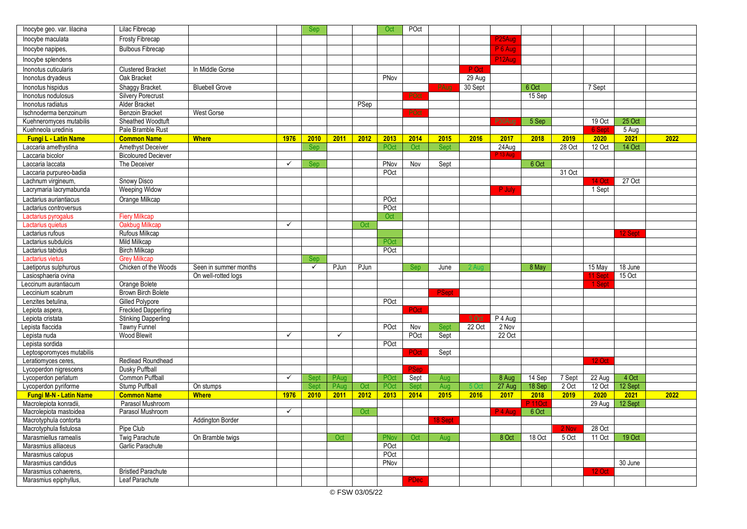| Inocybe geo. var. lilacina                   | Lilac Fibrecap             |                       |              | Sep          |              |      | Oct  | POct        |              |                 |                     |                   |        |               |         |      |
|----------------------------------------------|----------------------------|-----------------------|--------------|--------------|--------------|------|------|-------------|--------------|-----------------|---------------------|-------------------|--------|---------------|---------|------|
| Inocybe maculata                             | Frosty Fibrecap            |                       |              |              |              |      |      |             |              |                 | P <sub>25</sub> Aug |                   |        |               |         |      |
| Inocybe napipes,                             | <b>Bulbous Fibrecap</b>    |                       |              |              |              |      |      |             |              |                 | $P_6$ Aug           |                   |        |               |         |      |
| Inocybe splendens                            |                            |                       |              |              |              |      |      |             |              |                 | P12Aug              |                   |        |               |         |      |
| Inonotus cuticularis                         | <b>Clustered Bracket</b>   | In Middle Gorse       |              |              |              |      |      |             |              | P Oct           |                     |                   |        |               |         |      |
| Inonotus dryadeus                            | Oak Bracket                |                       |              |              |              |      | PNov |             |              | 29 Aug          |                     |                   |        |               |         |      |
| Inonotus hispidus                            | Shaggy Bracket.            | <b>Bluebell Grove</b> |              |              |              |      |      |             | PAua         | 30 Sept         |                     | 6 Oct             |        | 7 Sept        |         |      |
| Inonotus nodulosus                           | <b>Silvery Porecrust</b>   |                       |              |              |              |      |      | POct        |              |                 |                     | 15 Sep            |        |               |         |      |
| Inonotus radiatus                            | Alder Bracket              |                       |              |              |              | PSep |      |             |              |                 |                     |                   |        |               |         |      |
| Ischnoderma benzoinum                        | <b>Benzoin Bracket</b>     | <b>West Gorse</b>     |              |              |              |      |      | POct        |              |                 |                     |                   |        |               |         |      |
| Kuehneromyces mutabilis                      | Sheathed Woodtuft          |                       |              |              |              |      |      |             |              |                 | P30Aug              | 5 Sep             |        | 19 Oct        | 25 Oct  |      |
| Kuehneola uredinis                           | Pale Bramble Rust          |                       |              |              |              |      |      |             |              |                 |                     |                   |        | 6 Sept        | 5 Aug   |      |
| <b>Fungi L - Latin Name</b>                  | <b>Common Name</b>         | <b>Where</b>          | 1976         | 2010         | 2011         | 2012 | 2013 | 2014        | 2015         | 2016            | 2017                | 2018              | 2019   | 2020          | 2021    | 2022 |
| Laccaria amethystina                         | Amethyst Deceiver          |                       |              | Sep          |              |      | POct | Oct         | Sept         |                 | 24Aug               |                   | 28 Oct | 12 Oct        | 14 Oct  |      |
| Laccaria bicolor                             | <b>Bicoloured Deciever</b> |                       |              |              |              |      |      |             |              |                 | P 13 Aug            |                   |        |               |         |      |
| Laccaria laccata                             | The Deceiver               |                       | $\checkmark$ | <b>Sep</b>   |              |      | PNov | Nov         | Sept         |                 |                     | 6 Oct             |        |               |         |      |
| Laccaria purpureo-badia                      |                            |                       |              |              |              |      | POct |             |              |                 |                     |                   | 31 Oct |               |         |      |
| Lachnum virgineum,                           | <b>Snowy Disco</b>         |                       |              |              |              |      |      |             |              |                 |                     |                   |        | <b>14 Oct</b> | 27 Oct  |      |
| Lacrymaria lacrymabunda                      | <b>Weeping Widow</b>       |                       |              |              |              |      |      |             |              |                 | P July              |                   |        | 1 Sept        |         |      |
| Lactarius auriantiacus                       | Orange Milkcap             |                       |              |              |              |      | POct |             |              |                 |                     |                   |        |               |         |      |
| Lactarius controversus                       |                            |                       |              |              |              |      | POct |             |              |                 |                     |                   |        |               |         |      |
| Lactarius pyrogalus                          | <b>Fiery Milkcap</b>       |                       |              |              |              |      | Oct  |             |              |                 |                     |                   |        |               |         |      |
| Lactarius quietus                            | Oakbug Milkcap             |                       | ✓            |              |              | Oct  |      |             |              |                 |                     |                   |        |               |         |      |
| Lactarius rufous                             | Rufous Milkcap             |                       |              |              |              |      |      |             |              |                 |                     |                   |        |               | 12 Sept |      |
| Lactarius subdulcis                          | Mild Milkcap               |                       |              |              |              |      | POct |             |              |                 |                     |                   |        |               |         |      |
| Lactarius tabidus                            | <b>Birch Milkcap</b>       |                       |              |              |              |      | POct |             |              |                 |                     |                   |        |               |         |      |
| Lactarius vietus                             | <b>Grey Milkcap</b>        |                       |              | Sep          |              |      |      |             |              |                 |                     |                   |        |               |         |      |
| Laetiporus sulphurous                        | Chicken of the Woods       | Seen in summer months |              | $\checkmark$ | PJun         | PJun |      | Sep         | June         |                 |                     | 8 May             |        | 15 May        | 18 June |      |
| Lasiosphaeria ovina                          |                            | On well-rotted loas   |              |              |              |      |      |             |              |                 |                     |                   |        | 11 Sept       | 15 Oct  |      |
| Leccinum aurantiacum                         | Orange Bolete              |                       |              |              |              |      |      |             |              |                 |                     |                   |        | 1 Sept        |         |      |
| Leccinium scabrum                            | <b>Brown Birch Bolete</b>  |                       |              |              |              |      |      |             | <b>PSept</b> |                 |                     |                   |        |               |         |      |
| Lenzites betulina.                           | <b>Gilled Polypore</b>     |                       |              |              |              |      | POct |             |              |                 |                     |                   |        |               |         |      |
| Lepiota aspera,                              | <b>Freckled Dapperling</b> |                       |              |              |              |      |      | POct        |              |                 |                     |                   |        |               |         |      |
| Lepiota cristata                             | <b>Stinking Dapperling</b> |                       |              |              |              |      |      |             |              | 9 Oct           | P 4 Aug             |                   |        |               |         |      |
| Lepista flaccida                             | <b>Tawny Funnel</b>        |                       | $\checkmark$ |              | $\checkmark$ |      | POct | Nov         | Sept         | 22 Oct          | 2 Nov               |                   |        |               |         |      |
| Lepista nuda                                 | <b>Wood Blewit</b>         |                       |              |              |              |      | POct | POct        | Sept         |                 | 22 Oct              |                   |        |               |         |      |
| Lepista sordida<br>Leptosporomyces mutabilis |                            |                       |              |              |              |      |      | ≀Oct        | Sept         |                 |                     |                   |        |               |         |      |
| Leratiomyces ceres,                          | Redlead Roundhead          |                       |              |              |              |      |      |             |              |                 |                     |                   |        | <b>12 Oct</b> |         |      |
| Lycoperdon nigrescens                        | Dusky Puffball             |                       |              |              |              |      |      | <b>PSep</b> |              |                 |                     |                   |        |               |         |      |
| Lycoperdon perlatum                          | Common Puffball            |                       | $\checkmark$ | Sept         | PAug         |      | POct | Sept        | Aug          |                 | 8 Aug               | 14 Sep            | 7 Sept | 22 Aug        | 4 Oct   |      |
| Lycoperdon pyriforme                         | Stump Puffball             | On stumps             |              | Sept         | PAug         | Oct  | POct | Sept        | Aug          | 5O <sub>c</sub> | 27 Aug              | 18 Sep            | 2 Oct  | 12 Oct        | 12 Sept |      |
| <b>Fungi M-N - Latin Name</b>                | <b>Common Name</b>         | <b>Where</b>          | 1976         | 2010         | 2011         | 2012 | 2013 | 2014        | 2015         | 2016            | 2017                | 2018              | 2019   | 2020          | 2021    | 2022 |
| Macrolepiota konradii                        | Parasol Mushroom           |                       |              |              |              |      |      |             |              |                 |                     | <sup>2</sup> 110d |        | 29 Aug        | 12 Sept |      |
| Macrolepiota mastoidea                       | Parasol Mushroom           |                       | ✓            |              |              | Oct  |      |             |              |                 | P <sub>4</sub> Aug  | 6 Oct             |        |               |         |      |
| Macrotyphula contorta                        |                            | Addington Border      |              |              |              |      |      |             | 18 Sept      |                 |                     |                   |        |               |         |      |
| Macrotyphula fistulosa                       | Pipe Club                  |                       |              |              |              |      |      |             |              |                 |                     |                   | 2 Nov  | 28 Oct        |         |      |
| Marasmiellus ramealis                        | Twig Parachute             | On Bramble twigs      |              |              | Oct          |      | PNov | Oct         | Aug          |                 | 8 Oct               | 18 Oct            | 5 Oct  | 11 Oct        | 19 Oct  |      |
| Marasmius alliaceus                          | Garlic Parachute           |                       |              |              |              |      | POct |             |              |                 |                     |                   |        |               |         |      |
| Marasmius calopus                            |                            |                       |              |              |              |      | POct |             |              |                 |                     |                   |        |               |         |      |
| Marasmius candidus                           |                            |                       |              |              |              |      | PNov |             |              |                 |                     |                   |        |               | 30 June |      |
| Marasmius cohaerens,                         | <b>Bristled Parachute</b>  |                       |              |              |              |      |      |             |              |                 |                     |                   |        | 12 Oct        |         |      |
| Marasmius epiphyllus,                        | Leaf Parachute             |                       |              |              |              |      |      | PDec        |              |                 |                     |                   |        |               |         |      |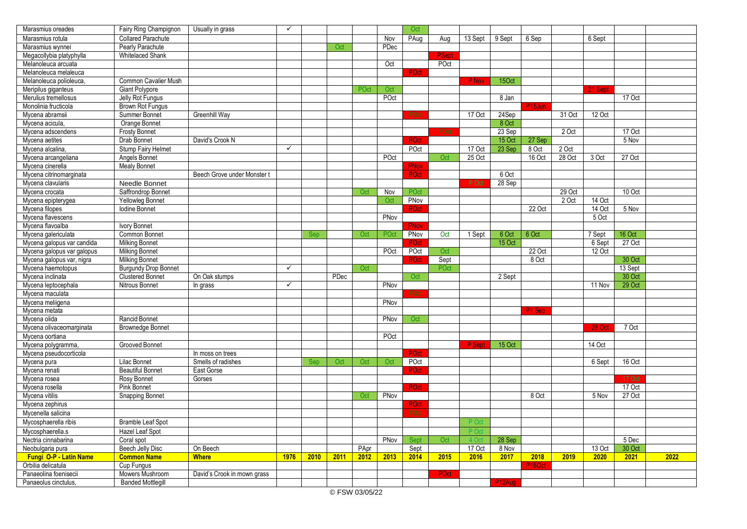| Marasmius oreades             | Fairy Ring Champignon       | Usually in grass            | $\checkmark$ |            |      |      |      | Oct         |                  |                |                     |                     |        |          |          |      |
|-------------------------------|-----------------------------|-----------------------------|--------------|------------|------|------|------|-------------|------------------|----------------|---------------------|---------------------|--------|----------|----------|------|
| Marasmius rotula              | <b>Collared Parachute</b>   |                             |              |            |      |      | Nov  | PAug        | Aug              | 13 Sept        | 9 Sept              | 6 Sep               |        | 6 Sept   |          |      |
| Marasmius wynnei              | Pearly Parachute            |                             |              |            | Oct  |      | PDec |             |                  |                |                     |                     |        |          |          |      |
| Megacollybia platyphylla      | Whitelaced Shank            |                             |              |            |      |      |      |             | <sup>2</sup> Sep |                |                     |                     |        |          |          |      |
| Melanoleuca arcuata           |                             |                             |              |            |      |      | Oct  |             | POct             |                |                     |                     |        |          |          |      |
| Melanoleuca melaleuca         |                             |                             |              |            |      |      |      | POct        |                  |                |                     |                     |        |          |          |      |
| Melanoleuca polioleuca,       | Common Cavalier Mush        |                             |              |            |      |      |      |             |                  | P Nov          | 15Oct               |                     |        |          |          |      |
| Meripilus giganteus           | Giant Polypore              |                             |              |            |      | POct | Oct  |             |                  |                |                     |                     |        | 21 Sept  |          |      |
| Merulius tremellosus          | Jelly Rot Fungus            |                             |              |            |      |      | POct |             |                  |                | 8 Jan               |                     |        |          | 17 Oct   |      |
| Monolinia fructicola          | Brown Rot Fungus            |                             |              |            |      |      |      |             |                  |                |                     | P <sub>15</sub> Jun |        |          |          |      |
| Mycena abramsii               | <b>Summer Bonnet</b>        | Greenhill Way               |              |            |      |      |      | POct        |                  | 17 Oct         | 24Sep               |                     | 31 Oct | 12 Oct   |          |      |
| Mycena acicula,               | Orange Bonnet               |                             |              |            |      |      |      |             |                  |                | 8 Oct               |                     |        |          |          |      |
| Mycena adscendens             | <b>Frosty Bonnet</b>        |                             |              |            |      |      |      |             | POct             |                | 23 Sep              |                     | 2 Oct  |          | 17 Oct   |      |
| Mycena aetites                | Drab Bonnet                 | David's Crook N             |              |            |      |      |      | POct        |                  |                | <b>15 Oct</b>       | 27 Sep              |        |          | 5 Nov    |      |
| Mycena alcalina,              | Stump Fairy Helmet          |                             | $\checkmark$ |            |      |      |      | POct        |                  | 17 Oct         | 23 Sep              | 8 Oct               | 2 Oct  |          |          |      |
| Mycena arcangeliana           | Angels Bonnet               |                             |              |            |      |      | POct |             | Oct              | $25$ Oct       |                     | 16 Oct              | 28 Oct | 3 Oct    | 27 Oct   |      |
| Mycena cinerella              | <b>Mealy Bonnet</b>         |                             |              |            |      |      |      | <b>PNov</b> |                  |                |                     |                     |        |          |          |      |
| Mycena citrinomarginata       |                             | Beech Grove under Monster t |              |            |      |      |      | POct        |                  |                | 6 Oct               |                     |        |          |          |      |
| Mycena clavularis             | Needle Bonnet               |                             |              |            |      |      |      |             |                  | P Oct          | 28 Sep              |                     |        |          |          |      |
| Mycena crocata                | Saffrondrop Bonnet          |                             |              |            |      | Oct  | Nov  | POct        |                  |                |                     |                     | 29 Oct |          | 10 Oct   |      |
| Mycena epipterygea            | <b>Yellowleg Bonnet</b>     |                             |              |            |      |      | Oct  | PNov        |                  |                |                     |                     | 2 Oct  | 14 Oct   |          |      |
| Mycena filopes                | Iodine Bonnet               |                             |              |            |      |      |      | POct        |                  |                |                     | 22 Oct              |        | 14 Oct   | 5 Nov    |      |
| Mycena flavescens             |                             |                             |              |            |      |      | PNov |             |                  |                |                     |                     |        | 5 Oct    |          |      |
| Mycena flavoalba              | <b>Ivory Bonnet</b>         |                             |              |            |      |      |      | PNo         |                  |                |                     |                     |        |          |          |      |
| Mycena galericulata           | Common Bonnet               |                             |              | <b>Sep</b> |      | Oct  | POct | PNov        | Oct              | 1 Sept         | 6 Oct               | 6 Oct               |        | 7 Sept   | 16 Oct   |      |
| Mycena galopus var candida    | <b>Milking Bonnet</b>       |                             |              |            |      |      |      | POct        |                  |                | 15 Oct              |                     |        | 6 Sept   | $27$ Oct |      |
| Mycena galopus var galopus    | <b>Milking Bonnet</b>       |                             |              |            |      |      | POct | POct        | Oct              |                |                     | 22 Oct              |        | 12 Oct   |          |      |
| Mycena galopus var, nigra     | <b>Milking Bonnet</b>       |                             |              |            |      |      |      |             | Sept             |                |                     | 8 Oct               |        |          | 30 Oct   |      |
| Mycena haemotopus             | <b>Burgundy Drop Bonnet</b> |                             | $\checkmark$ |            |      | Oct  |      |             | POct             |                |                     |                     |        |          | 13 Sept  |      |
| Mycena inclinata              | <b>Clustered Bonnet</b>     | On Oak stumps               |              |            | PDec |      |      | Oct         |                  |                | 2 Sept              |                     |        |          | 30 Oct   |      |
| Mycena leptocephala           | Nitrous Bonnet              | In grass                    | $\checkmark$ |            |      |      | PNov |             |                  |                |                     |                     |        | 11 Nov   | 29 Oct   |      |
| Mycena maculata               |                             |                             |              |            |      |      |      | POct        |                  |                |                     |                     |        |          |          |      |
| Mycena meliigena              |                             |                             |              |            |      |      | PNov |             |                  |                |                     |                     |        |          |          |      |
| Mycena metata                 |                             |                             |              |            |      |      |      |             |                  |                |                     | P <sub>1</sub> Sep  |        |          |          |      |
| Mycena olida                  | Rancid Bonnet               |                             |              |            |      |      | PNov | Oct         |                  |                |                     |                     |        |          |          |      |
| Mycena olivaceomarginata      | <b>Brownedge Bonnet</b>     |                             |              |            |      |      |      |             |                  |                |                     |                     |        | 28 Oct   | 7 Oct    |      |
| Mycena oortiana               |                             |                             |              |            |      |      | POct |             |                  |                |                     |                     |        |          |          |      |
| Mycena polygramma,            | <b>Grooved Bonnet</b>       |                             |              |            |      |      |      |             |                  | P Sept.        | 15 Oct              |                     |        | $14$ Oct |          |      |
| Mycena pseudocorticola        |                             | In moss on trees            |              |            |      |      |      | Oci         |                  |                |                     |                     |        |          |          |      |
| Mycena pura                   | <b>Lilac Bonnet</b>         | Smells of radishes          |              | Sep        | Oct  | Oct  | Oct  | POct        |                  |                |                     |                     |        | 6 Sept   | 16 Oct   |      |
| Mycena renati                 | <b>Beautiful Bonnet</b>     | East Gorse                  |              |            |      |      |      | POct        |                  |                |                     |                     |        |          |          |      |
| Mycena rosea                  | Rosy Bonnet                 | Gorses                      |              |            |      |      |      |             |                  |                |                     |                     |        |          | 17 Oct   |      |
| Mycena rosella                | Pink Bonnet                 |                             |              |            |      |      |      | POct        |                  |                |                     |                     |        |          | 17 Oct   |      |
| Mycena vitilis                | Snapping Bonnet             |                             |              |            |      | Oct  | PNov |             |                  |                |                     | 8 Oct               |        | 5 Nov    | 27 Oct   |      |
| Mycena zephirus               |                             |                             |              |            |      |      |      | POct        |                  |                |                     |                     |        |          |          |      |
| Mycenella salicina            |                             |                             |              |            |      |      |      | POct        |                  |                |                     |                     |        |          |          |      |
| Mycosphaerella ribis          | Bramble Leaf Spot           |                             |              |            |      |      |      |             |                  | P Oc           |                     |                     |        |          |          |      |
| Mycosphaerella.s              | Hazel Leaf Spot             |                             |              |            |      |      |      |             |                  | P <sub>O</sub> |                     |                     |        |          |          |      |
| Nectria cinnabarina           | Coral spot                  |                             |              |            |      |      | PNov | Sept        | Oct              |                | 28 Sep              |                     |        |          | 5 Dec    |      |
| Neobulgaria pura              | <b>Beech Jelly Disc</b>     | On Beech                    |              |            |      | PApr |      | Sept        |                  | 17 Oct         | 8 Nov               |                     |        | 13 Oct   | 30 Oct   |      |
| <b>Fungi O-P - Latin Name</b> | <b>Common Name</b>          | <b>Where</b>                | 1976         | 2010       | 2011 | 2012 | 2013 | 2014        | 2015             | 2016           | 2017                | 2018                | 2019   | 2020     | 2021     | 2022 |
| Orbilia delicatula            | Cup Fungus                  |                             |              |            |      |      |      |             |                  |                |                     | P18Oc               |        |          |          |      |
| Panaeolina foenisecii         | Mowers Mushroom             | David's Crook in mown grass |              |            |      |      |      |             | POct             |                |                     |                     |        |          |          |      |
| Panaeolus cinctulus.          | <b>Banded Mottlegill</b>    |                             |              |            |      |      |      |             |                  |                | P <sub>12</sub> Aug |                     |        |          |          |      |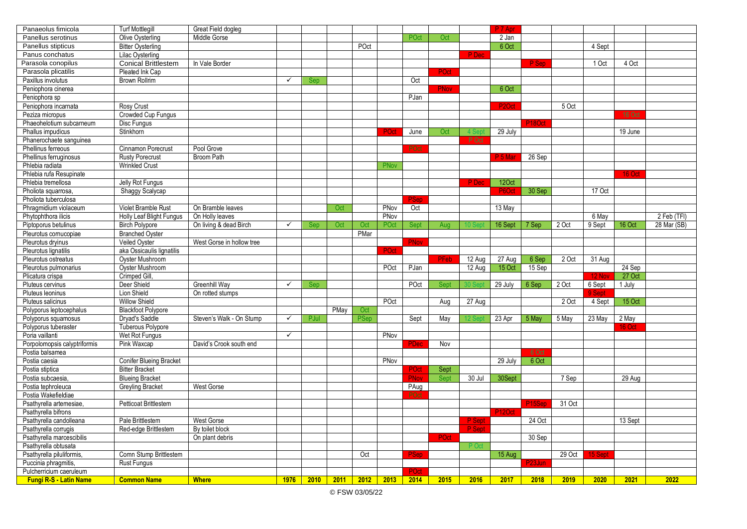| Panaeolus fimicola            | <b>Turf Mottlegill</b>         | Great Field dogleg        |              |      |      |             |      |             |      |        | P 7 Apr            |                    |        |         |               |             |
|-------------------------------|--------------------------------|---------------------------|--------------|------|------|-------------|------|-------------|------|--------|--------------------|--------------------|--------|---------|---------------|-------------|
| Panellus serotinus            | Olive Oysterling               | Middle Gorse              |              |      |      |             |      | POct        | Oct  |        | 2 Jan              |                    |        |         |               |             |
| Panellus stipticus            | <b>Bitter Oysterling</b>       |                           |              |      |      | POct        |      |             |      |        | 6 Oct              |                    |        | 4 Sept  |               |             |
| Panus conchatus               | Lilac Oysterling               |                           |              |      |      |             |      |             |      | P Dec  |                    |                    |        |         |               |             |
| Parasola conopilus            | <b>Conical Brittlestem</b>     | In Vale Border            |              |      |      |             |      |             |      |        |                    | P Sep              |        | 1 Oct   | 4 Oct         |             |
| Parasola plicatilis           | Pleated Ink Cap                |                           |              |      |      |             |      |             | POct |        |                    |                    |        |         |               |             |
| Paxillus involutus            | <b>Brown Rollrim</b>           |                           | ✓            | Sep  |      |             |      | Oct         |      |        |                    |                    |        |         |               |             |
| Peniophora cinerea            |                                |                           |              |      |      |             |      |             | PNov |        | 6 Oct              |                    |        |         |               |             |
| Peniophora sp                 |                                |                           |              |      |      |             |      | PJan        |      |        |                    |                    |        |         |               |             |
| Peniophora incarnata          | <b>Rosy Crust</b>              |                           |              |      |      |             |      |             |      |        | P <sub>2</sub> Oct |                    | 5 Oct  |         |               |             |
| Peziza micropus               | Crowded Cup Fungus             |                           |              |      |      |             |      |             |      |        |                    |                    |        |         | 16 Oct        |             |
| Phaeohelotium subcarneum      | Disc Fungus                    |                           |              |      |      |             |      |             |      |        |                    | P18Oct             |        |         |               |             |
| Phallus impudicus             | Stinkhorn                      |                           |              |      |      |             | POct | June        | Oct  | l Se   | 29 July            |                    |        |         | 19 June       |             |
| Phanerochaete sanguinea       |                                |                           |              |      |      |             |      |             |      | P Oct  |                    |                    |        |         |               |             |
| Phellinus ferreous            | Cinnamon Porecrust             | Pool Grove                |              |      |      |             |      | POct        |      |        |                    |                    |        |         |               |             |
| Phellinus ferruginosus        | <b>Rusty Porecrust</b>         | <b>Broom Path</b>         |              |      |      |             |      |             |      |        | P 5 Mar            | 26 Sep             |        |         |               |             |
| Phlebia radiata               | Wrinkled Crust                 |                           |              |      |      |             | PNov |             |      |        |                    |                    |        |         |               |             |
| Phlebia rufa Resupinate       |                                |                           |              |      |      |             |      |             |      |        |                    |                    |        |         | <b>16 Oct</b> |             |
| Phlebia tremellosa            | Jelly Rot Fungus               |                           |              |      |      |             |      |             |      | P Dec  | 12Oct              |                    |        |         |               |             |
| Pholiota squarrosa,           | Shaggy Scalycap                |                           |              |      |      |             |      |             |      |        | P6Oct              | 30 Sep             |        | 17 Oct  |               |             |
| Pholiota tuberculosa          |                                |                           |              |      |      |             |      |             |      |        |                    |                    |        |         |               |             |
| Phragmidium violaceum         | Violet Bramble Rust            | On Bramble leaves         |              |      | Oct  |             | PNov | Oct         |      |        | 13 May             |                    |        |         |               |             |
| Phytophthora ilicis           | Holly Leaf Blight Fungus       | On Holly leaves           |              |      |      |             | PNov |             |      |        |                    |                    |        | 6 May   |               | 2 Feb (TFI) |
| Piptoporus betulinus          | <b>Birch Polypore</b>          | On living & dead Birch    | $\checkmark$ | Sep  | Oct  | Oct         | POct | Sept        | Aug  |        | 16 Sept            | 7 Sep              | 2 Oct  | 9 Sept  | 16 Oct        | 28 Mar (SB) |
| Pleurotus cornucopiae         | <b>Branched Oyster</b>         |                           |              |      |      | PMar        |      |             |      |        |                    |                    |        |         |               |             |
| Pleurotus dryinus             | Veiled Oyster                  | West Gorse in hollow tree |              |      |      |             |      | PNov        |      |        |                    |                    |        |         |               |             |
| Pleurotus lignatilis          | aka Ossicaulis lignatilis      |                           |              |      |      |             | POct |             |      |        |                    |                    |        |         |               |             |
| Pleurotus ostreatus           | Oyster Mushroom                |                           |              |      |      |             |      |             | PFeb | 12 Aug | 27 Aug             | 6 Sep              | 2 Oct  | 31 Aug  |               |             |
| Pleurotus pulmonarius         | Oyster Mushroom                |                           |              |      |      |             | POct | PJan        |      | 12 Aug | 15 Oct             | 15 Sep             |        |         | 24 Sep        |             |
| Plicatura crispa              | Crimped Gill                   |                           |              |      |      |             |      |             |      |        |                    |                    |        | 12 Nov  | 27 Oct        |             |
| Pluteus cervinus              | Deer Shield                    | Greenhill Way             | $\checkmark$ | Sep  |      |             |      | POct        | Sept |        | 29 July            | 6 Sep              | 2 Oct  | 6 Sept  | 1 July        |             |
| Pluteus leoninus              | Lion Shield                    | On rotted stumps          |              |      |      |             |      |             |      |        |                    |                    |        | 9 Sept  |               |             |
| Pluteus salicinus             | Willow Shield                  |                           |              |      |      |             | POct |             | Aug  | 27 Aug |                    |                    | 2 Oct  | 4 Sept  | 15 Oct        |             |
| Polyporus leptocephalus       | <b>Blackfoot Polypore</b>      |                           |              |      | PMay | Oct         |      |             |      |        |                    |                    |        |         |               |             |
| Polyporus squamosus           | Dryad's Saddle                 | Steven's Walk - On Stump  | $\checkmark$ | PJul |      | <b>PSep</b> |      | Sept        | May  |        | 23 Apr             | 5 May              | 5 May  | 23 May  | 2 May         |             |
| Polyporus tuberaster          | Tuberous Polypore              |                           |              |      |      |             |      |             |      |        |                    |                    |        |         | 16 Oct        |             |
| Poria vaillanti               | Wet Rot Fungus                 |                           | $\checkmark$ |      |      |             | PNov |             |      |        |                    |                    |        |         |               |             |
| Porpolomopsis calyptriformis  | Pink Waxcap                    | David's Crook south end   |              |      |      |             |      | PDer        | Nov  |        |                    |                    |        |         |               |             |
| Postia balsamea               |                                |                           |              |      |      |             |      |             |      |        |                    | 6 Oct              |        |         |               |             |
| Postia caesia                 | <b>Conifer Blueing Bracket</b> |                           |              |      |      |             | PNov |             |      |        | 29 July            | 6 Oct              |        |         |               |             |
| Postia stiptica               | <b>Bitter Bracket</b>          |                           |              |      |      |             |      | POct        | Sept |        |                    |                    |        |         |               |             |
| Postia subcaesia,             | <b>Blueing Bracket</b>         |                           |              |      |      |             |      | <b>PNov</b> | Sept | 30 Jul | 30Sept             |                    | 7 Sep  |         | 29 Aug        |             |
| Postia tephroleuca            | <b>Greyling Bracket</b>        | <b>West Gorse</b>         |              |      |      |             |      | PAug        |      |        |                    |                    |        |         |               |             |
| Postia Wakefieldiae           |                                |                           |              |      |      |             |      |             |      |        |                    |                    |        |         |               |             |
| Psathyrella artemesiae,       | Petticoat Brittlestem          |                           |              |      |      |             |      |             |      |        |                    | P <sub>15Sep</sub> | 31 Oct |         |               |             |
| Psathyrella bifrons           |                                |                           |              |      |      |             |      |             |      |        | P12Ocl             |                    |        |         |               |             |
| Psathyrella candolleana       | Pale Brittlestem               | West Gorse                |              |      |      |             |      |             |      | P Sept |                    | 24 Oct             |        |         | 13 Sept       |             |
| Psathyrella corrugis          | Red-edge Brittlestem           | By toilet block           |              |      |      |             |      |             |      | P Sept |                    |                    |        |         |               |             |
| Psathyrella marcescibilis     |                                | On plant debris           |              |      |      |             |      |             | POct |        |                    | 30 Sep             |        |         |               |             |
| Psathyrella obtusata          |                                |                           |              |      |      |             |      |             |      | P O    |                    |                    |        |         |               |             |
| Psathyrella piluliformis,     | Comn Stump Brittlestem         |                           |              |      |      | Oct         |      | PSep        |      |        | 15 Aug             |                    | 29 Oct | 15 Sept |               |             |
| Puccinia phragmitis,          | <b>Rust Fungus</b>             |                           |              |      |      |             |      |             |      |        |                    | P23Jun             |        |         |               |             |
| Pulcherricium caeruleum       |                                |                           |              |      |      |             |      | POct        |      |        |                    |                    |        |         |               |             |
| <b>Fungi R-S - Latin Name</b> | <b>Common Name</b>             | <b>Where</b>              | 1976         | 2010 | 2011 | 2012        | 2013 | 2014        | 2015 | 2016   | 2017               | 2018               | 2019   | 2020    | 2021          | 2022        |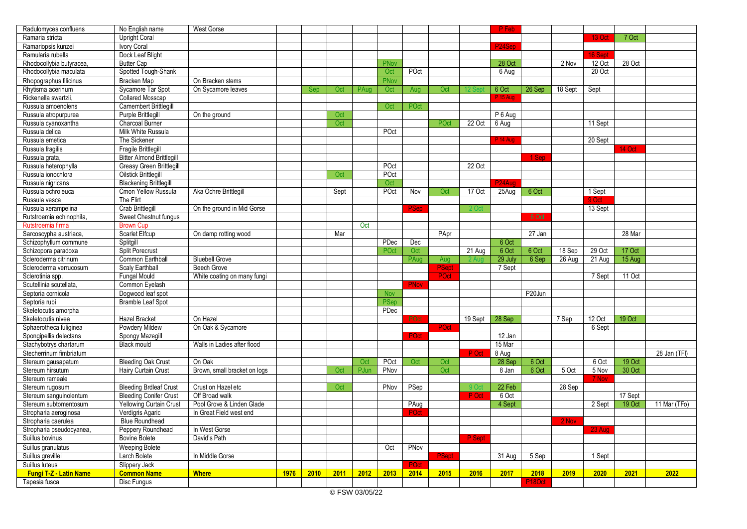| Radulomyces confluens         | No English name                  | <b>West Gorse</b>            |      |      |      |      |             |             |              |              | P Feb               |                     |         |          |         |              |
|-------------------------------|----------------------------------|------------------------------|------|------|------|------|-------------|-------------|--------------|--------------|---------------------|---------------------|---------|----------|---------|--------------|
| Ramaria stricta               | <b>Upright Coral</b>             |                              |      |      |      |      |             |             |              |              |                     |                     |         | $13$ Oct | 7 Oct   |              |
| Ramariopsis kunzei            | Ivory Coral                      |                              |      |      |      |      |             |             |              |              | P <sub>24</sub> Sep |                     |         |          |         |              |
| Ramularia rubella             | Dock Leaf Blight                 |                              |      |      |      |      |             |             |              |              |                     |                     |         | 16 Sep   |         |              |
| Rhodocollybia butyracea.      | <b>Butter Cap</b>                |                              |      |      |      |      | PNov        |             |              |              | 28 Oct              |                     | 2 Nov   | 12 Oct   | 28 Oct  |              |
| Rhodocollybia maculata        | Spotted Tough-Shank              |                              |      |      |      |      | Oct         | POct        |              |              | 6 Aug               |                     |         | 20 Oct   |         |              |
| Rhopographus filicinus        | Bracken Map                      | On Bracken stems             |      |      |      |      | PNov        |             |              |              |                     |                     |         |          |         |              |
| Rhytisma acerinum             | Sycamore Tar Spot                | On Sycamore leaves           |      | Sep  | Oct  | PAug | Oct         | Aug         | Oct          |              | 6 Oct               | 26 Sep              | 18 Sept | Sept     |         |              |
| Rickenella swartzii,          | <b>Collared Mosscap</b>          |                              |      |      |      |      |             |             |              |              | <sup>2</sup> 15 Au  |                     |         |          |         |              |
| Russula amoenolens            | <b>Camembert Brittlegill</b>     |                              |      |      |      |      | Oct         | POct        |              |              |                     |                     |         |          |         |              |
| Russula atropurpurea          | Purple Brittlegill               | On the ground                |      |      | Oct  |      |             |             |              |              | P 6 Aug             |                     |         |          |         |              |
| Russula cyanoxantha           | Charcoal Burner                  |                              |      |      | Oct  |      |             |             | POct         | 22 Oct       | 6 Aug               |                     |         | 11 Sept  |         |              |
| Russula delica                | Milk White Russula               |                              |      |      |      |      | POct        |             |              |              |                     |                     |         |          |         |              |
| Russula emetica               | The Sickener                     |                              |      |      |      |      |             |             |              |              | P 14 Aug            |                     |         | 20 Sept  |         |              |
| Russula fragilis              | Fragile Brittlegill              |                              |      |      |      |      |             |             |              |              |                     |                     |         |          | 14 Oct  |              |
| Russula grata,                | <b>Bitter Almond Brittlegill</b> |                              |      |      |      |      |             |             |              |              |                     | 1 Sep               |         |          |         |              |
| Russula heterophylla          | <b>Greasy Green Brittlegill</b>  |                              |      |      |      |      | POct        |             |              | 22 Oct       |                     |                     |         |          |         |              |
| Russula ionochlora            | <b>Oilstick Brittlegill</b>      |                              |      |      | Oct  |      | POct        |             |              |              |                     |                     |         |          |         |              |
|                               |                                  |                              |      |      |      |      |             |             |              |              | P24Aua              |                     |         |          |         |              |
| Russula nigricans             | <b>Blackening Brittlegill</b>    |                              |      |      |      |      | Oct<br>POct | Nov         | Oct          | 17 Oct       |                     | 6 Oct               |         |          |         |              |
| Russula ochroleuca            | Cmon Yellow Russula              | Aka Ochre Brittlegill        |      |      | Sept |      |             |             |              |              | 25Aug               |                     |         | 1 Sept   |         |              |
| Russula vesca                 | The Flirt                        |                              |      |      |      |      |             |             |              |              |                     |                     |         |          |         |              |
| Russula xerampelina           | Crab Brittlegill                 | On the ground in Mid Gorse   |      |      |      |      |             | PSep        |              | 2 O          |                     |                     |         | 13 Sept  |         |              |
| Rutstroemia echinophila,      | Sweet Chestnut fungus            |                              |      |      |      |      |             |             |              |              |                     | 6 Oct               |         |          |         |              |
| Rutstroemia firma             | <b>Brown Cup</b>                 |                              |      |      |      | Oct  |             |             |              |              |                     |                     |         |          |         |              |
| Sarcoscypha austriaca,        | Scarlet Elfcup                   | On damp rotting wood         |      |      | Mar  |      |             |             | PApr         |              |                     | 27 Jan              |         |          | 28 Mar  |              |
| Schizophyllum commune         | Splitgill                        |                              |      |      |      |      | PDec        | Dec         |              |              | 6 Oct               |                     |         |          |         |              |
| Schizopora paradoxa           | <b>Split Porecrust</b>           |                              |      |      |      |      | POct        | Oct         |              | 21 Aug       | 6 Oct               | 6 Oct               | 18 Sep  | 29 Oct   | 17 Oct  |              |
| Scleroderma citrinum          | Common Earthball                 | <b>Bluebell Grove</b>        |      |      |      |      |             | PAua        | Aug          |              | 29 July             | 6 Sep               | 26 Aug  | 21 Aug   | 15 Aug  |              |
| Scleroderma verrucosum        | Scaly Earthball                  | <b>Beech Grove</b>           |      |      |      |      |             |             | <b>PSept</b> |              | 7 Sept              |                     |         |          |         |              |
| Sclerotinia spp.              | <b>Fungal Mould</b>              | White coating on many fungi  |      |      |      |      |             |             | POct         |              |                     |                     |         | 7 Sept   | 11 Oct  |              |
| Scutellinia scutellata,       | Common Eyelash                   |                              |      |      |      |      |             | PNov        |              |              |                     |                     |         |          |         |              |
| Septoria cornicola            | Dogwood leaf spot                |                              |      |      |      |      | Nov         |             |              |              |                     | P <sub>20</sub> Jun |         |          |         |              |
| Septoria rubi                 | <b>Bramble Leaf Spot</b>         |                              |      |      |      |      | PSep        |             |              |              |                     |                     |         |          |         |              |
| Skeletocutis amorpha          |                                  |                              |      |      |      |      | PDec        |             |              |              |                     |                     |         |          |         |              |
| Skeletocutis nivea            | <b>Hazel Bracket</b>             | On Hazel                     |      |      |      |      |             | <b>POct</b> |              | 19 Sept      | 28 Sep              |                     | 7 Sep   | 12 Oct   | 19 Oct  |              |
| Sphaerotheca fuliginea        | Powdery Mildew                   | On Oak & Sycamore            |      |      |      |      |             |             | POct         |              |                     |                     |         | 6 Sept   |         |              |
| Spongipellis delectans        | Spongy Mazegil                   |                              |      |      |      |      |             | POct        |              |              | 12 Jan              |                     |         |          |         |              |
| Stachybotrys chartarum        | <b>Black mould</b>               | Walls in Ladies after flood  |      |      |      |      |             |             |              |              | 15 Mar              |                     |         |          |         |              |
| Stecherrinum fimbriatum       |                                  |                              |      |      |      |      |             |             |              | P Oct        | 8 Aug               |                     |         |          |         | 28 Jan (TFI) |
| Stereum gausapatum            | <b>Bleeding Oak Crust</b>        | On Oak                       |      |      |      | Oct  | POct        | Oct         | Oct          |              | 28 Sep              | 6 Oct               |         | 6 Oct    | 19 Oct  |              |
| Stereum hirsutum              | Hairy Curtain Crust              | Brown, small bracket on logs |      |      | Oct  | PJun | PNov        |             | Oct          |              | 8 Jan               | 6 Oct               | 5 Oct   | 5 Nov    | 30 Oct  |              |
| Stereum rameale               |                                  |                              |      |      |      |      |             |             |              |              |                     |                     |         | 7 Nov    |         |              |
| Stereum rugosum               | <b>Bleeding Brdleaf Crust</b>    | Crust on Hazel etc           |      |      | Oct  |      | PNov        | PSep        |              | 9 O          | 22 Feb              |                     | 28 Sep  |          |         |              |
| Stereum sanguinolentum        | <b>Bleeding Conifer Crust</b>    | Off Broad walk               |      |      |      |      |             |             |              | <b>PLOct</b> | 6 Oct               |                     |         |          | 17 Sept |              |
| Stereum subtomentosum         | <b>Yellowing Curtain Crust</b>   | Pool Grove & Linden Glade    |      |      |      |      |             | PAug        |              |              | 4 Sept              |                     |         | 2 Sept   | 19 Oct  | 11 Mar (TFo) |
| Stropharia aeroginosa         | Verdigris Agaric                 | In Great Field west end      |      |      |      |      |             | ∍Oct        |              |              |                     |                     |         |          |         |              |
| Stropharia caerulea           | <b>Blue Roundhead</b>            |                              |      |      |      |      |             |             |              |              |                     |                     | 2 Nov   |          |         |              |
| Stropharia pseudocyanea,      | Peppery Roundhead                | In West Gorse                |      |      |      |      |             |             |              |              |                     |                     |         | 23 Aug   |         |              |
| Suillus bovinus               | <b>Bovine Bolete</b>             | David's Path                 |      |      |      |      |             |             |              | P Sept       |                     |                     |         |          |         |              |
| Suillus granulatus            | <b>Weeping Bolete</b>            |                              |      |      |      |      | Oct         | PNov        |              |              |                     |                     |         |          |         |              |
| Suillus grevillei             | Larch Bolete                     | In Middle Gorse              |      |      |      |      |             |             | <b>PSept</b> |              | 31 Aug              | 5 Sep               |         | 1 Sept   |         |              |
| Suillus luteus                | Slippery Jack                    |                              |      |      |      |      |             | POct        |              |              |                     |                     |         |          |         |              |
| <b>Fungi T-Z - Latin Name</b> | <b>Common Name</b>               | <b>Where</b>                 | 1976 | 2010 | 2011 | 2012 | 2013        | 2014        | 2015         | 2016         | 2017                | 2018                | 2019    | 2020     | 2021    | 2022         |
| Tapesia fusca                 | Disc Fungus                      |                              |      |      |      |      |             |             |              |              |                     | P <sub>18</sub> Oct |         |          |         |              |
|                               |                                  |                              |      |      |      |      |             |             |              |              |                     |                     |         |          |         |              |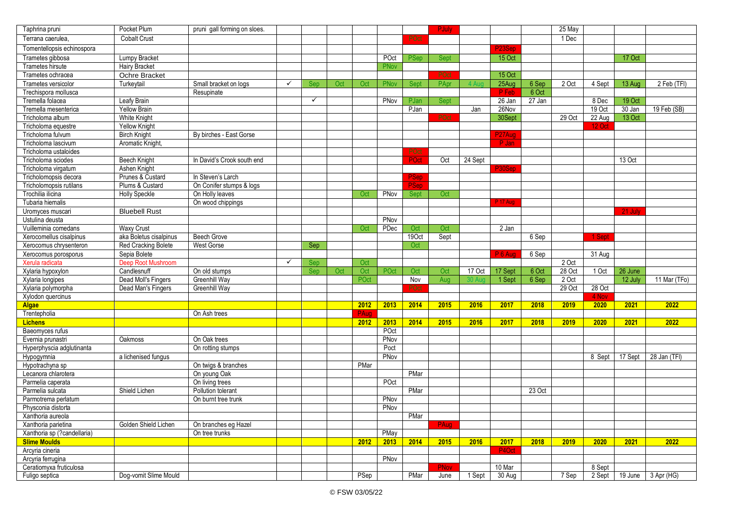| Taphrina pruni              | Pocket Plum            | pruni gall forming on sloes. |              |              |     |      |      |                   | <b>PJuly</b> |         |               |        | 25 May |        |         |                               |
|-----------------------------|------------------------|------------------------------|--------------|--------------|-----|------|------|-------------------|--------------|---------|---------------|--------|--------|--------|---------|-------------------------------|
| Terrana caerulea.           | <b>Cobalt Crust</b>    |                              |              |              |     |      |      | POct              |              |         |               |        | 1 Dec  |        |         |                               |
| Tomentellopsis echinospora  |                        |                              |              |              |     |      |      |                   |              |         | P23Sep        |        |        |        |         |                               |
| Trametes gibbosa            | Lumpy Bracket          |                              |              |              |     |      | POct | <b>PSep</b>       | <b>Sept</b>  |         | <b>15 Oct</b> |        |        |        | 17 Oct  |                               |
| Trametes hirsute            | <b>Hairy Bracket</b>   |                              |              |              |     |      | PNov |                   |              |         |               |        |        |        |         |                               |
| Trametes ochracea           | Ochre Bracket          |                              |              |              |     |      |      |                   | POct         |         | 15 Oct        |        |        |        |         |                               |
| Trametes versicolor         | Turkeytail             | Small bracket on logs        | $\checkmark$ | Sep          | Oct | Oct  | PNov | <b>Sept</b>       | PApr         |         | 25Aug         | 6 Sep  | 2 Oct  | 4 Sept | 13 Aug  | 2 Feb (TFI)                   |
| Trechispora mollusca        |                        | Resupinate                   |              |              |     |      |      |                   |              |         | P Feb         | 6 Oct  |        |        |         |                               |
| Tremella folacea            | Leafy Brain            |                              |              | $\checkmark$ |     |      | PNov | PJan              | Sept         |         | 26 Jan        | 27 Jan |        | 8 Dec  | 19 Oct  |                               |
| Tremella mesenterica        | <b>Yellow Brain</b>    |                              |              |              |     |      |      | PJan              |              | Jan     | 26Nov         |        |        | 19 Oct | 30 Jan  | 19 Feb (SB)                   |
| Tricholoma album            | <b>White Knight</b>    |                              |              |              |     |      |      |                   | POct         |         | 30Sept        |        | 29 Oct | 22 Aug | 13 Oct  |                               |
| Tricholoma equestre         | <b>Yellow Knight</b>   |                              |              |              |     |      |      |                   |              |         |               |        |        | 12 Oc  |         |                               |
| Tricholoma fulvum           | <b>Birch Knight</b>    | By birches - East Gorse      |              |              |     |      |      |                   |              |         | P27Aug        |        |        |        |         |                               |
| Tricholoma lascivum         | Aromatic Knight,       |                              |              |              |     |      |      |                   |              |         | P Jan         |        |        |        |         |                               |
| Tricholoma ustaloides       |                        |                              |              |              |     |      |      | POc               |              |         |               |        |        |        |         |                               |
| Tricholoma sciodes          | Beech Knight           | In David's Crook south end   |              |              |     |      |      | POct              | Oct          | 24 Sept |               |        |        |        | 13 Oct  |                               |
| Tricholoma virgatum         | Ashen Knight           |                              |              |              |     |      |      |                   |              |         | P30Sep        |        |        |        |         |                               |
| Tricholomopsis decora       | Prunes & Custard       | In Steven's Larch            |              |              |     |      |      | PSep              |              |         |               |        |        |        |         |                               |
| Tricholomopsis rutilans     | Plums & Custard        | On Conifer stumps & logs     |              |              |     |      |      | 'Sep              |              |         |               |        |        |        |         |                               |
| Trochilia ilicina           | <b>Holly Speckle</b>   | On Holly leaves              |              |              |     | Oct  | PNov | Sept              | Oct          |         |               |        |        |        |         |                               |
| Tubaria hiemalis            |                        | On wood chippings            |              |              |     |      |      |                   |              |         | P 17 Aug      |        |        |        |         |                               |
| Uromyces muscari            | <b>Bluebell Rust</b>   |                              |              |              |     |      |      |                   |              |         |               |        |        |        | 21 July |                               |
| Ustulina deusta             |                        |                              |              |              |     |      | PNov |                   |              |         |               |        |        |        |         |                               |
| Vuilleminia comedans        | <b>Waxy Crust</b>      |                              |              |              |     | Oct  | PDec | Oct               | Oct          |         | 2 Jan         |        |        |        |         |                               |
| Xerocomellus cisalpinus     | aka Boletus cisalpinus | <b>Beech Grove</b>           |              |              |     |      |      | 190 <sub>ct</sub> | Sept         |         |               | 6 Sep  |        | 1 Sept |         |                               |
| Xerocomus chrysenteron      | Red Cracking Bolete    | <b>West Gorse</b>            |              | Sep          |     |      |      | Oct               |              |         |               |        |        |        |         |                               |
| Xerocomus porosporus        | Sepia Bolete           |                              |              |              |     |      |      |                   |              |         | P 6 Aug       | 6 Sep  |        | 31 Aug |         |                               |
| Xerula radicata             | Deep Root Mushroom     |                              | ✓            | Sep          |     | Oct  |      |                   |              |         |               |        | 2 Oct  |        |         |                               |
| Xylaria hypoxylon           | Candlesnuff            | On old stumps                |              | Sep          | Oct | Oct  | POct | Oct               | Oct          | 17 Oct  | 17 Sept       | 6 Oct  | 28 Oct | 10ct   | 26 June |                               |
| Xylaria longipes            | Dead Moll's Fingers    | Greenhill Way                |              |              |     | POct |      | Nov               | Aug          |         | 1 Sept        | 6 Sep  | 2 Oct  |        | 12 July | 11 Mar (TFo)                  |
| Xylaria polymorpha          | Dead Man's Fingers     | Greenhill Way                |              |              |     |      |      | POct              |              |         |               |        | 29 Oct | 28 Oct |         |                               |
| Xylodon quercinus           |                        |                              |              |              |     |      |      |                   |              |         |               |        |        | 4 Nov  |         |                               |
| <b>Algae</b>                |                        |                              |              |              |     | 2012 | 2013 | 2014              | 2015         | 2016    | 2017          | 2018   | 2019   | 2020   | 2021    | 2022                          |
| Trentepholia                |                        | On Ash trees                 |              |              |     | PAug |      |                   |              |         |               |        |        |        |         |                               |
| <b>Lichens</b>              |                        |                              |              |              |     | 2012 | 2013 | 2014              | 2015         | 2016    | 2017          | 2018   | 2019   | 2020   | 2021    | 2022                          |
| Baeomyces rufus             |                        |                              |              |              |     |      | POct |                   |              |         |               |        |        |        |         |                               |
| Evernia prunastri           | Oakmoss                | On Oak trees                 |              |              |     |      | PNov |                   |              |         |               |        |        |        |         |                               |
| Hyperphyscia adglutinanta   |                        | On rotting stumps            |              |              |     |      | Poct |                   |              |         |               |        |        |        |         |                               |
| Hypogymnia                  | a lichenised fungus    |                              |              |              |     |      | PNov |                   |              |         |               |        |        | 8 Sept | 17 Sept | 28 Jan (TFI)                  |
| Hypotrachyna sp             |                        | On twigs & branches          |              |              |     | PMar |      |                   |              |         |               |        |        |        |         |                               |
| Lecanora chlarotera         |                        | On young Oak                 |              |              |     |      |      | PMar              |              |         |               |        |        |        |         |                               |
| Parmelia caperata           |                        | On living trees              |              |              |     |      | POct |                   |              |         |               |        |        |        |         |                               |
| Parmelia sulcata            | Shield Lichen          | Pollution tolerant           |              |              |     |      |      | PMar              |              |         |               | 23 Oct |        |        |         |                               |
| Parmotrema perlatum         |                        | On burnt tree trunk          |              |              |     |      | PNov |                   |              |         |               |        |        |        |         |                               |
| Physconia distorta          |                        |                              |              |              |     |      | PNov |                   |              |         |               |        |        |        |         |                               |
| Xanthoria aureola           |                        |                              |              |              |     |      |      | PMar              |              |         |               |        |        |        |         |                               |
| Xanthoria parietina         | Golden Shield Lichen   | On branches eg Hazel         |              |              |     |      |      |                   | PAug         |         |               |        |        |        |         |                               |
| Xanthoria sp (?candellaria) |                        | On tree trunks               |              |              |     |      | PMay |                   |              |         |               |        |        |        |         |                               |
| <b>Slime Moulds</b>         |                        |                              |              |              |     | 2012 | 2013 | 2014              | 2015         | 2016    | 2017          | 2018   | 2019   | 2020   | 2021    | 2022                          |
| Arcyria cineria             |                        |                              |              |              |     |      |      |                   |              |         | P4Oct         |        |        |        |         |                               |
| Arcyria ferrugina           |                        |                              |              |              |     |      | PNov |                   |              |         |               |        |        |        |         |                               |
| Ceratiomyxa fruticulosa     |                        |                              |              |              |     |      |      |                   | <b>PNov</b>  |         | 10 Mar        |        |        | 8 Sept |         |                               |
| Fuligo septica              | Dog-vomit Slime Mould  |                              |              |              |     | PSep |      | PMar              | June         | 1 Sept  | $30$ Aug      |        | 7Sep   |        |         | 2 Sept   19 June   3 Apr (HG) |